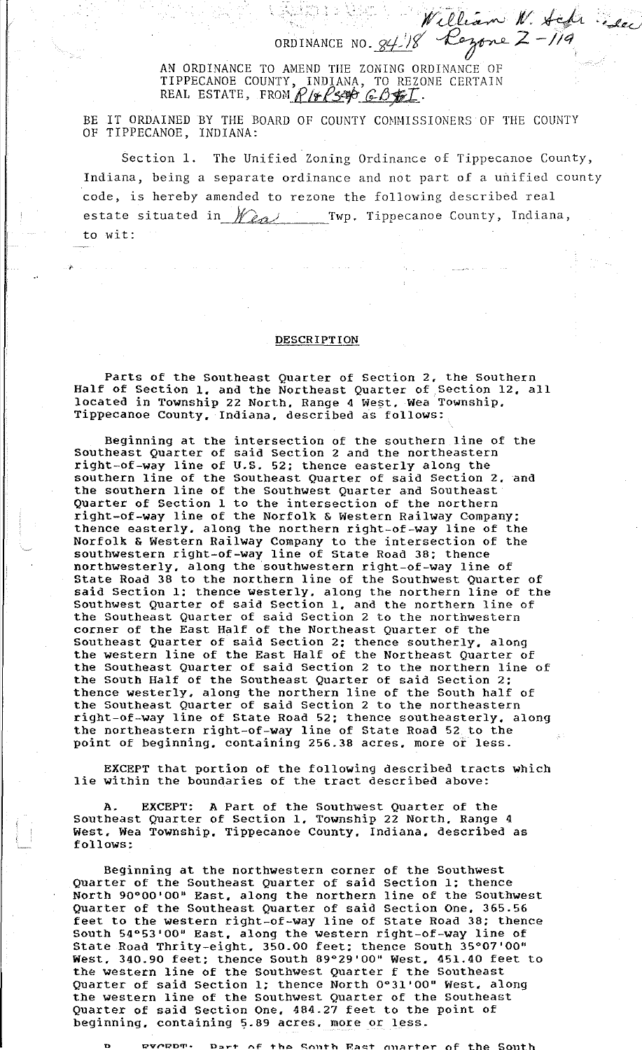ORDINANCE NO. William W. Sch

 $W$ illian  $W_*$  fchr.

 $\cdot$  for  $\epsilon$ 

AN ORDINANCE TO AMEND THE ZONING ORDINANCE OF TIPPECANOE COUNTY, INDIANA, TO REZONE CERTAIN REAL ESTATE, FROM  $P$ / $\neq P$ 3496  $G$ *6*  $\neq I$ .

BE IT ORDAINED BY THE BOARD OF COUNTY COMMISSIONERS OF THE COUNTY OF TIPPECANOE, INDIANA:

Section 1. The Unified Zoning Ordinance of Tippecanoe County, Indiana, being a separate ordinance and not part of a unified county code, is hereby amended to rezone the following described real estate situated in *Wea*, Twp. Tippecanoe County, Indiana, to wit:

## **DESCRIPTION**

 $\lambda$ 

Parts of the Southeast Quarter of Section 2, the Southern Half of Section 1. and the Northeast Quarter of Section 12, all located in Township 22 North, Range 4 West, Wea Township, Tippecanoe County, Indiana. described as follows:

Beginning at the intersection of the southern line of the Southeast Quarter of said Section 2 and the northeastern right-of-way line of U.S. 52; thence easterly along the southern line of the southeast Quarter of said Section 2, and the southern line of the Southwest Quarter and southeast Quarter of Section 1 to the intersection of the northern right-of-way line of the Norfolk & Western Railway Company; thence easterly. along the northern right-of-way line of the Norfolk & Western Railway Company to the intersection of the southwestern right-of-way line of State Road 38; thence northwesterly. along the southwestern right-of-way line of State Road 38 to the northern line of the Southwest Quarter of said Section l; thence westerly. along the northern line of the Southwest Quarter of said Section 1. and the northern line of the Southeast Quarter of said Section 2 to the northwestern corner of the East Half of the Northeast Quarter of the Southeast Quarter of said Section 2; thence southerly, along the western line of the East Half of the Northeast Quarter of the Southeast Quarter of said Section 2 to the northern line of the South Half of the Southeast Quarter of said Section 2; thence westerly. along the northern line of the South half of the southeast Quarter of said section 2 to the northeastern right-of-way line of State Road 52; thence southeasterly, along the northeastern right-of-way line of State Road 52 to the point of beginning. containing 256.38 acres, more or less.

EXCEPT that portion of the following described tracts which lie within the boundaries of the tract described above:

A. EXCEPT: A Part of the Southwest Quarter of the Southeast Quarter of Section l, Township 22 North, Range 4 West. Wea Township. Tippecanoe County. Indiana, described as follows:

Beginning at the northwestern corner of the Southwest Quarter of the Southeast Quarter of said Section l; thence North 90°00'00" East, along the northern line of the Southwest QUarter of the Southeast Quarter of said Section one, 365.56 feet to the western right-of-way line of State Road 38; thence South 54°53'00" East, along the western right-of-way line of State Road Thrity-eight. 350.00 feet; thence South 35°07'00" West, 340.90 feet; thence south 89°29'00" West, 451.40 feet to the western line of the Southwest Quarter f the Southeast QUarter of said Section l; thence North 0°31'00" West. along the western line of the Southwest Quarter of the Southeast Quarter of said Section one, 484.27 feet to the point of beginning, containing 5.89 acres, more or less.

**n uv,.-.J?D1T'• D:::.r't' n.F Tho C:.f"l11Th R;:l!<::t" n11.Ar1'Pr r1f t\_he So11t.h**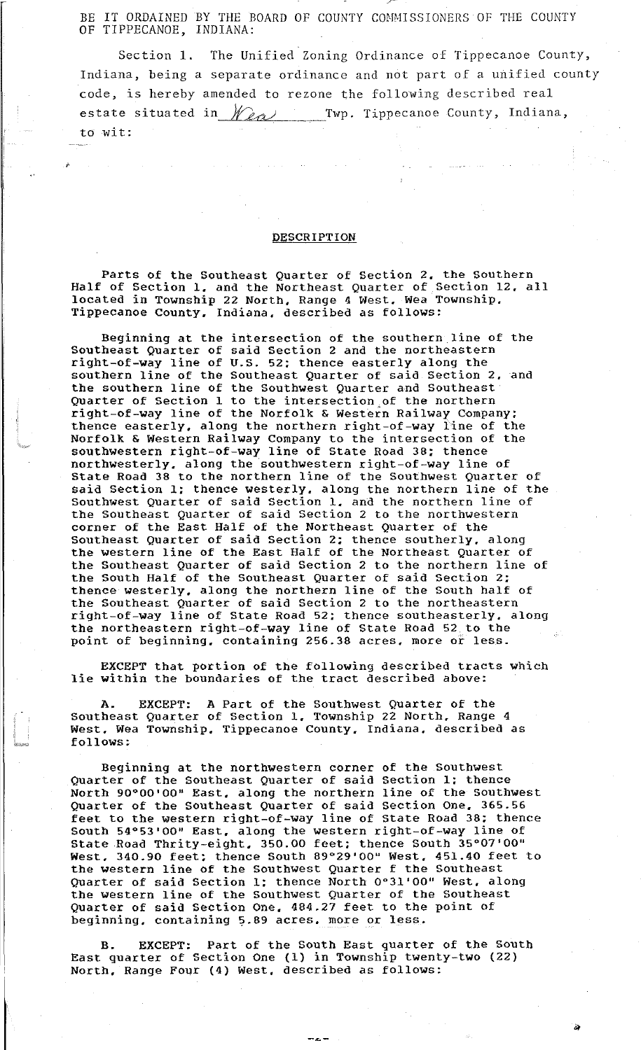BE IT ORDAINED BY THE BOARD OF COUNTY COMMISSIONERS OF THE COUNTY OF TIPPECANOE, INDIANA:

F

Section 1. The Unified Zoning Ordinance of Tippecanoe County, Indiana, being a separate ordinance and not part of a unified county code, is hereby amended to rezone the following described real estate situated in  $\mathscr{W}_{\ell\alpha}$  Twp. Tippecanoe County, Indiana, to wit:

## **DESCRIPTION**

 $\mathcal{S}_\mathbf{r}$ 

.t-,\Wd

Parts of the Southeast Quarter of Section 2. the Southern Half of Section 1, and the Northeast Quarter of Section 12, all located in Township 22 North. Range 4 West. Wea Township. Tippecanoe County. Indiana. described as follows:

Beginning at the intersection of the southern line of the Southeast Quarter of said Section 2 and the northeastern right-of-way line of U.S. 52; thence easterly along the southern line of the Southeast Quarter of said Section 2. and the southern line of the Southwest Quarter and Southeast Quarter of Section 1 to the intersection of the northern right-of-way line of the Norfolk & Western Railway Company; thence easterly. along the northern right-of-way line of the Norfolk & Western Railway Company to the intersection of the southwestern right-of-way line of State Road 38; thence northwesterly. along the southwestern right-of-way line of State Road 38 to the northern line of the Southwest Quarter of said Section 1: thence westerly. along the northern line of the Southwest Quarter of said Section 1. and the northern line of the southeast Quarter of said Section 2 to the northwestern corner of the East Half of the Northeast Quarter of the Southeast Quarter of said Section 2; thence southerly. along the western line of the East Half of the Northeast Quarter of the Southeast Quarter of said Section 2 to the northern line of the South Half of the Southeast Quarter of said Section 2; thence westerly. along the northern line of the South half of the Southeast Quarter of said Section 2 to the northeastern right-of-way line of State Road 52; thence southeasterly. along the northeastern right-of-way line of State Road 52 to the point of beginning. containing 256.38 acres. more of less.

EXCEPT that portion of the following described tracts which lie within the boundaries of the tract described above:

A. EXCEPT: A Part of the southwest Quarter of the Southeast Quarter of section 1. Township 22 North. Range 4 West. Wea Township. Tippecanoe County. Indiana. described as follows:

Beginning at the northwestern corner of the Southwest Quarter of the southeast Quarter of said section l; thence North 90°00'00" East. along the northern line of the southwest Quarter of the southeast Quarter of said section One. 365.56 feet to the western right-of-way line of State Road 38; thence South 54°53'00" East. along the western right-of-way line of State Road Thrity-eight. 350.00 feet; thence South 35°07'00" West. 340.90 feet; thence South 89°29'00" West, 451.40 feet to the western line of the Southwest Quarter f the Southeast Quarter of said Section l; thence North 0°31'00" West. along the western line of the Southwest Quarter of the Southeast Quarter of said Section One. 484.27 feet to the point of beginning, containing 5.89 acres. more or less.

B. EXCEPT: Part of the South East quarter of the South East quarter of Section One (1) in Township twenty-two (22) North. Range Four (4) west. described as follows:

ii>